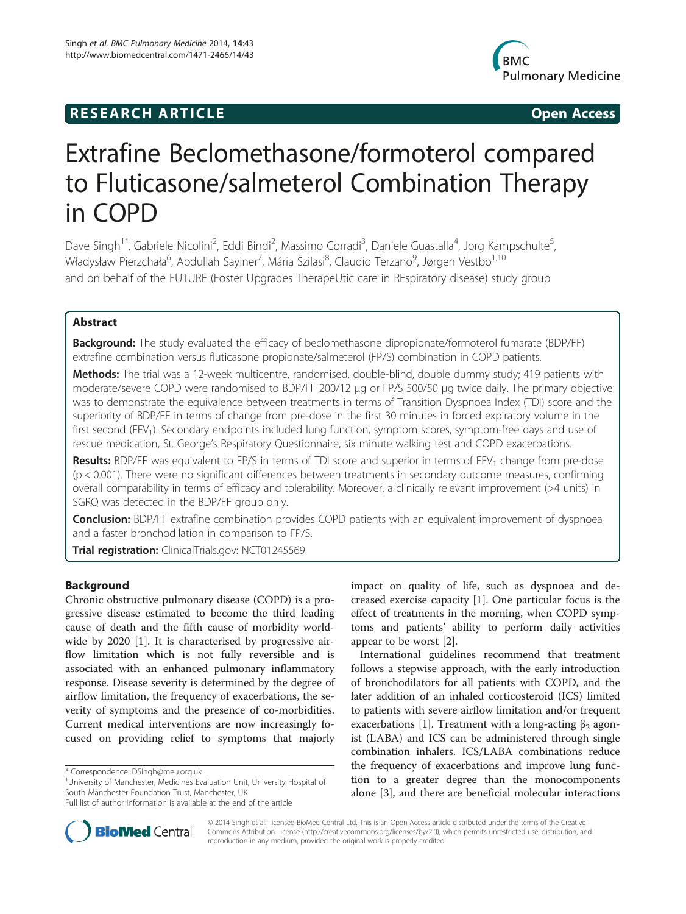## **RESEARCH ARTICLE Example 2014 CONSIDERING CONSIDERING CONSIDERING CONSIDERING CONSIDERING CONSIDERING CONSIDERING CONSIDERING CONSIDERING CONSIDERING CONSIDERING CONSIDERING CONSIDERING CONSIDERING CONSIDERING CONSIDE**



# Extrafine Beclomethasone/formoterol compared to Fluticasone/salmeterol Combination Therapy in COPD

Dave Singh<sup>1\*</sup>, Gabriele Nicolini<sup>2</sup>, Eddi Bindi<sup>2</sup>, Massimo Corradi<sup>3</sup>, Daniele Guastalla<sup>4</sup>, Jorg Kampschulte<sup>5</sup> , Władysław Pierzchała<sup>6</sup>, Abdullah Sayiner<sup>7</sup>, Mária Szilasi<sup>8</sup>, Claudio Terzano<sup>9</sup>, Jørgen Vestbo<sup>1,10</sup> and on behalf of the FUTURE (Foster Upgrades TherapeUtic care in REspiratory disease) study group

## Abstract

Background: The study evaluated the efficacy of beclomethasone dipropionate/formoterol fumarate (BDP/FF) extrafine combination versus fluticasone propionate/salmeterol (FP/S) combination in COPD patients.

Methods: The trial was a 12-week multicentre, randomised, double-blind, double dummy study; 419 patients with moderate/severe COPD were randomised to BDP/FF 200/12 μg or FP/S 500/50 μg twice daily. The primary objective was to demonstrate the equivalence between treatments in terms of Transition Dyspnoea Index (TDI) score and the superiority of BDP/FF in terms of change from pre-dose in the first 30 minutes in forced expiratory volume in the first second (FEV<sub>1</sub>). Secondary endpoints included lung function, symptom scores, symptom-free days and use of rescue medication, St. George's Respiratory Questionnaire, six minute walking test and COPD exacerbations.

Results: BDP/FF was equivalent to FP/S in terms of TDI score and superior in terms of FEV<sub>1</sub> change from pre-dose (p < 0.001). There were no significant differences between treatments in secondary outcome measures, confirming overall comparability in terms of efficacy and tolerability. Moreover, a clinically relevant improvement (>4 units) in SGRQ was detected in the BDP/FF group only.

**Conclusion:** BDP/FF extrafine combination provides COPD patients with an equivalent improvement of dyspnoea and a faster bronchodilation in comparison to FP/S.

Trial registration: ClinicalTrials.gov: [NCT01245569](http://clinicaltrials.gov/ct2/show/NCT01245569)

## Background

Chronic obstructive pulmonary disease (COPD) is a progressive disease estimated to become the third leading cause of death and the fifth cause of morbidity worldwide by 2020 [\[1](#page-7-0)]. It is characterised by progressive airflow limitation which is not fully reversible and is associated with an enhanced pulmonary inflammatory response. Disease severity is determined by the degree of airflow limitation, the frequency of exacerbations, the severity of symptoms and the presence of co-morbidities. Current medical interventions are now increasingly focused on providing relief to symptoms that majorly

impact on quality of life, such as dyspnoea and decreased exercise capacity [[1\]](#page-7-0). One particular focus is the effect of treatments in the morning, when COPD symptoms and patients' ability to perform daily activities appear to be worst [\[2](#page-7-0)].

International guidelines recommend that treatment follows a stepwise approach, with the early introduction of bronchodilators for all patients with COPD, and the later addition of an inhaled corticosteroid (ICS) limited to patients with severe airflow limitation and/or frequent exacerbations [[1](#page-7-0)]. Treatment with a long-acting  $\beta_2$  agonist (LABA) and ICS can be administered through single combination inhalers. ICS/LABA combinations reduce the frequency of exacerbations and improve lung function to a greater degree than the monocomponents alone [[3\]](#page-7-0), and there are beneficial molecular interactions



© 2014 Singh et al.; licensee BioMed Central Ltd. This is an Open Access article distributed under the terms of the Creative Commons Attribution License [\(http://creativecommons.org/licenses/by/2.0\)](http://creativecommons.org/licenses/by/2.0), which permits unrestricted use, distribution, and reproduction in any medium, provided the original work is properly credited.

<sup>\*</sup> Correspondence: [DSingh@meu.org.uk](mailto:DSingh@meu.org.uk) <sup>1</sup>

<sup>&</sup>lt;sup>1</sup>University of Manchester, Medicines Evaluation Unit, University Hospital of South Manchester Foundation Trust, Manchester, UK

Full list of author information is available at the end of the article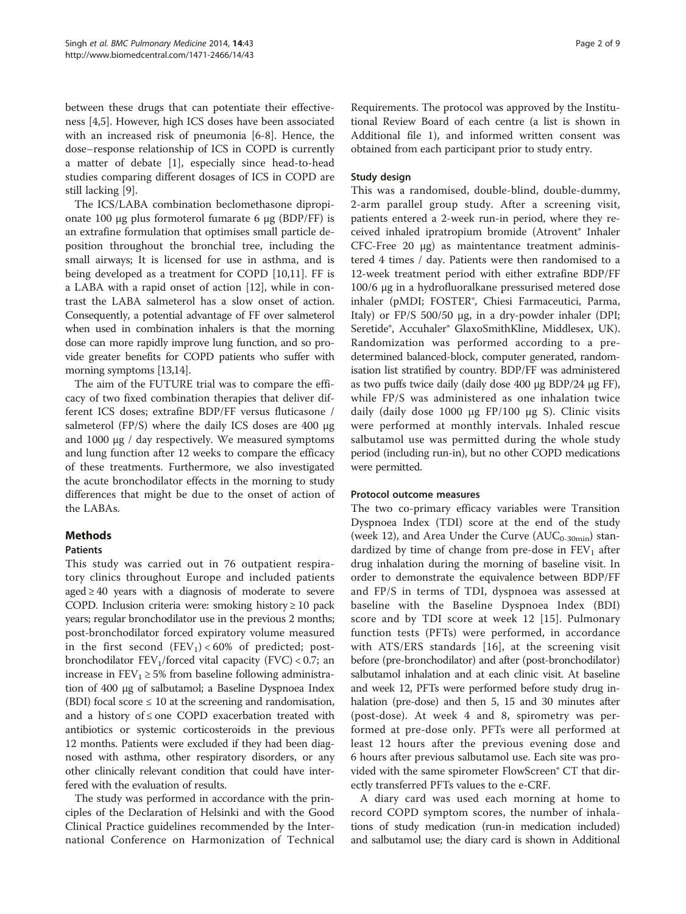between these drugs that can potentiate their effectiveness [\[4](#page-7-0)[,5](#page-8-0)]. However, high ICS doses have been associated with an increased risk of pneumonia [[6-8](#page-8-0)]. Hence, the dose–response relationship of ICS in COPD is currently a matter of debate [\[1](#page-7-0)], especially since head-to-head studies comparing different dosages of ICS in COPD are still lacking [\[9](#page-8-0)].

The ICS/LABA combination beclomethasone dipropionate 100 μg plus formoterol fumarate 6 μg (BDP/FF) is an extrafine formulation that optimises small particle deposition throughout the bronchial tree, including the small airways; It is licensed for use in asthma, and is being developed as a treatment for COPD [[10,11](#page-8-0)]. FF is a LABA with a rapid onset of action [[12](#page-8-0)], while in contrast the LABA salmeterol has a slow onset of action. Consequently, a potential advantage of FF over salmeterol when used in combination inhalers is that the morning dose can more rapidly improve lung function, and so provide greater benefits for COPD patients who suffer with morning symptoms [[13,14\]](#page-8-0).

The aim of the FUTURE trial was to compare the efficacy of two fixed combination therapies that deliver different ICS doses; extrafine BDP/FF versus fluticasone / salmeterol (FP/S) where the daily ICS doses are 400 μg and 1000 μg / day respectively. We measured symptoms and lung function after 12 weeks to compare the efficacy of these treatments. Furthermore, we also investigated the acute bronchodilator effects in the morning to study differences that might be due to the onset of action of the LABAs.

## Methods

## Patients

This study was carried out in 76 outpatient respiratory clinics throughout Europe and included patients aged  $\geq$  40 years with a diagnosis of moderate to severe COPD. Inclusion criteria were: smoking history  $\geq 10$  pack years; regular bronchodilator use in the previous 2 months; post-bronchodilator forced expiratory volume measured in the first second  $(FEV_1) < 60\%$  of predicted; postbronchodilator  $FEV_1/forced$  vital capacity  $(FVC) < 0.7$ ; an increase in  $FEV_1 \geq 5\%$  from baseline following administration of 400 μg of salbutamol; a Baseline Dyspnoea Index (BDI) focal score  $\leq 10$  at the screening and randomisation, and a history of  $\leq$  one COPD exacerbation treated with antibiotics or systemic corticosteroids in the previous 12 months. Patients were excluded if they had been diagnosed with asthma, other respiratory disorders, or any other clinically relevant condition that could have interfered with the evaluation of results.

The study was performed in accordance with the principles of the Declaration of Helsinki and with the Good Clinical Practice guidelines recommended by the International Conference on Harmonization of Technical Requirements. The protocol was approved by the Institutional Review Board of each centre (a list is shown in Additional file [1](#page-7-0)), and informed written consent was obtained from each participant prior to study entry.

#### Study design

This was a randomised, double-blind, double-dummy, 2-arm parallel group study. After a screening visit, patients entered a 2-week run-in period, where they received inhaled ipratropium bromide (Atrovent® Inhaler CFC-Free 20 μg) as maintentance treatment administered 4 times / day. Patients were then randomised to a 12-week treatment period with either extrafine BDP/FF 100/6 μg in a hydrofluoralkane pressurised metered dose inhaler (pMDI; FOSTER®, Chiesi Farmaceutici, Parma, Italy) or FP/S 500/50 μg, in a dry-powder inhaler (DPI; Seretide®, Accuhaler® GlaxoSmithKline, Middlesex, UK). Randomization was performed according to a predetermined balanced-block, computer generated, randomisation list stratified by country. BDP/FF was administered as two puffs twice daily (daily dose 400 μg BDP/24 μg FF), while FP/S was administered as one inhalation twice daily (daily dose 1000 μg FP/100 μg S). Clinic visits were performed at monthly intervals. Inhaled rescue salbutamol use was permitted during the whole study period (including run-in), but no other COPD medications were permitted.

## Protocol outcome measures

The two co-primary efficacy variables were Transition Dyspnoea Index (TDI) score at the end of the study (week 12), and Area Under the Curve  $(AUC_{0-30min})$  standardized by time of change from pre-dose in  $FEV<sub>1</sub>$  after drug inhalation during the morning of baseline visit. In order to demonstrate the equivalence between BDP/FF and FP/S in terms of TDI, dyspnoea was assessed at baseline with the Baseline Dyspnoea Index (BDI) score and by TDI score at week 12 [\[15](#page-8-0)]. Pulmonary function tests (PFTs) were performed, in accordance with ATS/ERS standards [\[16\]](#page-8-0), at the screening visit before (pre-bronchodilator) and after (post-bronchodilator) salbutamol inhalation and at each clinic visit. At baseline and week 12, PFTs were performed before study drug inhalation (pre-dose) and then 5, 15 and 30 minutes after (post-dose). At week 4 and 8, spirometry was performed at pre-dose only. PFTs were all performed at least 12 hours after the previous evening dose and 6 hours after previous salbutamol use. Each site was provided with the same spirometer FlowScreen® CT that directly transferred PFTs values to the e-CRF.

A diary card was used each morning at home to record COPD symptom scores, the number of inhalations of study medication (run-in medication included) and salbutamol use; the diary card is shown in Additional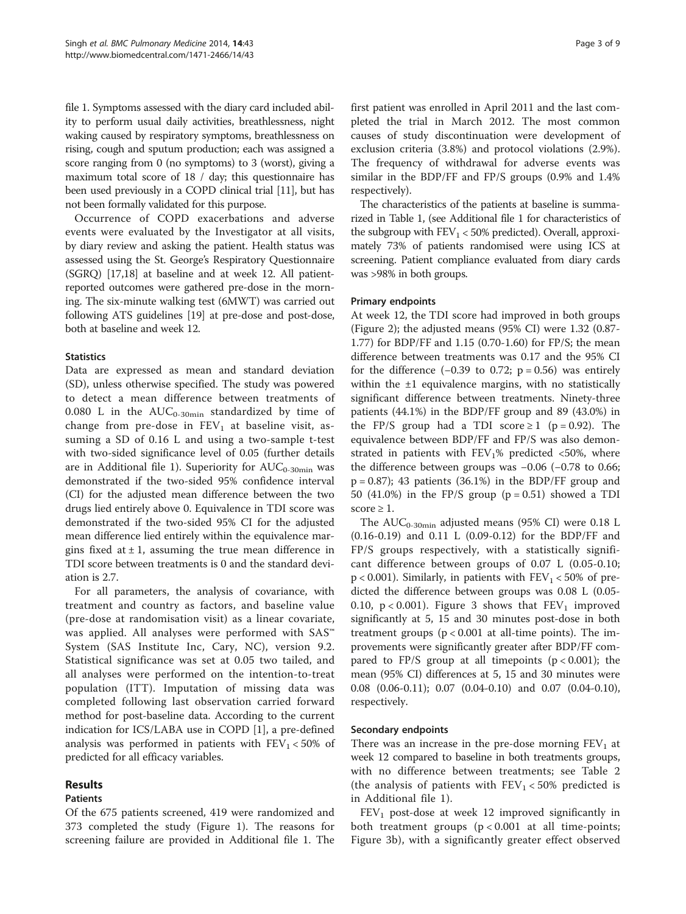file [1.](#page-7-0) Symptoms assessed with the diary card included ability to perform usual daily activities, breathlessness, night waking caused by respiratory symptoms, breathlessness on rising, cough and sputum production; each was assigned a score ranging from 0 (no symptoms) to 3 (worst), giving a maximum total score of 18 / day; this questionnaire has been used previously in a COPD clinical trial [\[11\]](#page-8-0), but has not been formally validated for this purpose.

Occurrence of COPD exacerbations and adverse events were evaluated by the Investigator at all visits, by diary review and asking the patient. Health status was assessed using the St. George's Respiratory Questionnaire (SGRQ) [[17,18](#page-8-0)] at baseline and at week 12. All patientreported outcomes were gathered pre-dose in the morning. The six-minute walking test (6MWT) was carried out following ATS guidelines [[19](#page-8-0)] at pre-dose and post-dose, both at baseline and week 12.

#### **Statistics**

Data are expressed as mean and standard deviation (SD), unless otherwise specified. The study was powered to detect a mean difference between treatments of 0.080 L in the  $AUC_{0-30min}$  standardized by time of change from pre-dose in  $FEV<sub>1</sub>$  at baseline visit, assuming a SD of 0.16 L and using a two-sample t-test with two-sided significance level of 0.05 (further details are in Additional file [1](#page-7-0)). Superiority for  $AUC_{0-30min}$  was demonstrated if the two-sided 95% confidence interval (CI) for the adjusted mean difference between the two drugs lied entirely above 0. Equivalence in TDI score was demonstrated if the two-sided 95% CI for the adjusted mean difference lied entirely within the equivalence margins fixed at  $\pm 1$ , assuming the true mean difference in TDI score between treatments is 0 and the standard deviation is 2.7.

For all parameters, the analysis of covariance, with treatment and country as factors, and baseline value (pre-dose at randomisation visit) as a linear covariate, was applied. All analyses were performed with SAS<sup>™</sup> System (SAS Institute Inc, Cary, NC), version 9.2. Statistical significance was set at 0.05 two tailed, and all analyses were performed on the intention-to-treat population (ITT). Imputation of missing data was completed following last observation carried forward method for post-baseline data. According to the current indication for ICS/LABA use in COPD [[1\]](#page-7-0), a pre-defined analysis was performed in patients with  $FEV<sub>1</sub> < 50%$  of predicted for all efficacy variables.

## Results

## Patients

Of the 675 patients screened, 419 were randomized and 373 completed the study (Figure [1](#page-3-0)). The reasons for screening failure are provided in Additional file [1.](#page-7-0) The first patient was enrolled in April 2011 and the last completed the trial in March 2012. The most common causes of study discontinuation were development of exclusion criteria (3.8%) and protocol violations (2.9%). The frequency of withdrawal for adverse events was similar in the BDP/FF and FP/S groups (0.9% and 1.4% respectively).

The characteristics of the patients at baseline is summarized in Table [1,](#page-4-0) (see Additional file [1](#page-7-0) for characteristics of the subgroup with  $FEV_1 < 50\%$  predicted). Overall, approximately 73% of patients randomised were using ICS at screening. Patient compliance evaluated from diary cards was >98% in both groups.

#### Primary endpoints

At week 12, the TDI score had improved in both groups (Figure [2\)](#page-5-0); the adjusted means (95% CI) were 1.32 (0.87- 1.77) for BDP/FF and 1.15 (0.70-1.60) for FP/S; the mean difference between treatments was 0.17 and the 95% CI for the difference  $(-0.39 \text{ to } 0.72; \text{ p} = 0.56)$  was entirely within the  $\pm 1$  equivalence margins, with no statistically significant difference between treatments. Ninety-three patients (44.1%) in the BDP/FF group and 89 (43.0%) in the FP/S group had a TDI score  $\geq 1$  (p = 0.92). The equivalence between BDP/FF and FP/S was also demonstrated in patients with  $FEV<sub>1</sub>%$  predicted <50%, where the difference between groups was −0.06 (−0.78 to 0.66;  $p = 0.87$ ; 43 patients (36.1%) in the BDP/FF group and 50 (41.0%) in the FP/S group  $(p = 0.51)$  showed a TDI score  $\geq 1$ .

The  $AUC_{0-30min}$  adjusted means (95% CI) were 0.18 L (0.16-0.19) and 0.11 L (0.09-0.12) for the BDP/FF and FP/S groups respectively, with a statistically significant difference between groups of 0.07 L (0.05-0.10;  $p < 0.001$ ). Similarly, in patients with  $FEV<sub>1</sub> < 50%$  of predicted the difference between groups was 0.08 L (0.05- 0.10,  $p < 0.001$ ). Figure [3](#page-5-0) shows that  $FEV_1$  improved significantly at 5, 15 and 30 minutes post-dose in both treatment groups  $(p < 0.001$  at all-time points). The improvements were significantly greater after BDP/FF compared to FP/S group at all timepoints  $(p < 0.001)$ ; the mean (95% CI) differences at 5, 15 and 30 minutes were 0.08 (0.06-0.11); 0.07 (0.04-0.10) and 0.07 (0.04-0.10), respectively.

## Secondary endpoints

There was an increase in the pre-dose morning  $FEV<sub>1</sub>$  at week 12 compared to baseline in both treatments groups, with no difference between treatments; see Table [2](#page-6-0) (the analysis of patients with  $FEV_1 < 50\%$  predicted is in Additional file [1](#page-7-0)).

 $FEV<sub>1</sub>$  post-dose at week 12 improved significantly in both treatment groups  $(p < 0.001$  at all time-points; Figure [3](#page-5-0)b), with a significantly greater effect observed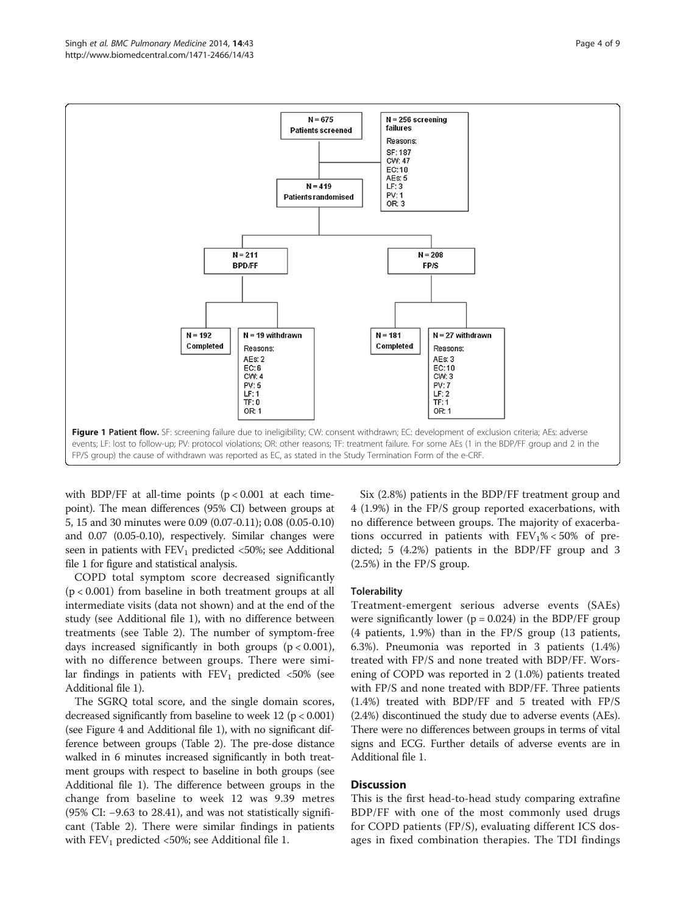<span id="page-3-0"></span>

with BDP/FF at all-time points  $(p < 0.001$  at each timepoint). The mean differences (95% CI) between groups at 5, 15 and 30 minutes were 0.09 (0.07-0.11); 0.08 (0.05-0.10) and 0.07 (0.05-0.10), respectively. Similar changes were seen in patients with  $FEV_1$  predicted <50%; see Additional file [1](#page-7-0) for figure and statistical analysis.

COPD total symptom score decreased significantly (p < 0.001) from baseline in both treatment groups at all intermediate visits (data not shown) and at the end of the study (see Additional file [1\)](#page-7-0), with no difference between treatments (see Table [2](#page-6-0)). The number of symptom-free days increased significantly in both groups  $(p < 0.001)$ , with no difference between groups. There were similar findings in patients with  $FEV_1$  predicted <50% (see Additional file [1](#page-7-0)).

The SGRQ total score, and the single domain scores, decreased significantly from baseline to week 12 ( $p < 0.001$ ) (see Figure [4](#page-6-0) and Additional file [1](#page-7-0)), with no significant difference between groups (Table [2\)](#page-6-0). The pre-dose distance walked in 6 minutes increased significantly in both treatment groups with respect to baseline in both groups (see Additional file [1](#page-7-0)). The difference between groups in the change from baseline to week 12 was 9.39 metres (95% CI: −9.63 to 28.41), and was not statistically significant (Table [2\)](#page-6-0). There were similar findings in patients with  $FEV_1$  predicted <50%; see Additional file [1](#page-7-0).

Six (2.8%) patients in the BDP/FF treatment group and 4 (1.9%) in the FP/S group reported exacerbations, with no difference between groups. The majority of exacerbations occurred in patients with  $FEV<sub>1</sub>% < 50%$  of predicted; 5 (4.2%) patients in the BDP/FF group and 3 (2.5%) in the FP/S group.

## **Tolerability**

Treatment-emergent serious adverse events (SAEs) were significantly lower ( $p = 0.024$ ) in the BDP/FF group (4 patients, 1.9%) than in the FP/S group (13 patients, 6.3%). Pneumonia was reported in 3 patients (1.4%) treated with FP/S and none treated with BDP/FF. Worsening of COPD was reported in 2 (1.0%) patients treated with FP/S and none treated with BDP/FF. Three patients (1.4%) treated with BDP/FF and 5 treated with FP/S (2.4%) discontinued the study due to adverse events (AEs). There were no differences between groups in terms of vital signs and ECG. Further details of adverse events are in Additional file [1](#page-7-0).

## **Discussion**

This is the first head-to-head study comparing extrafine BDP/FF with one of the most commonly used drugs for COPD patients (FP/S), evaluating different ICS dosages in fixed combination therapies. The TDI findings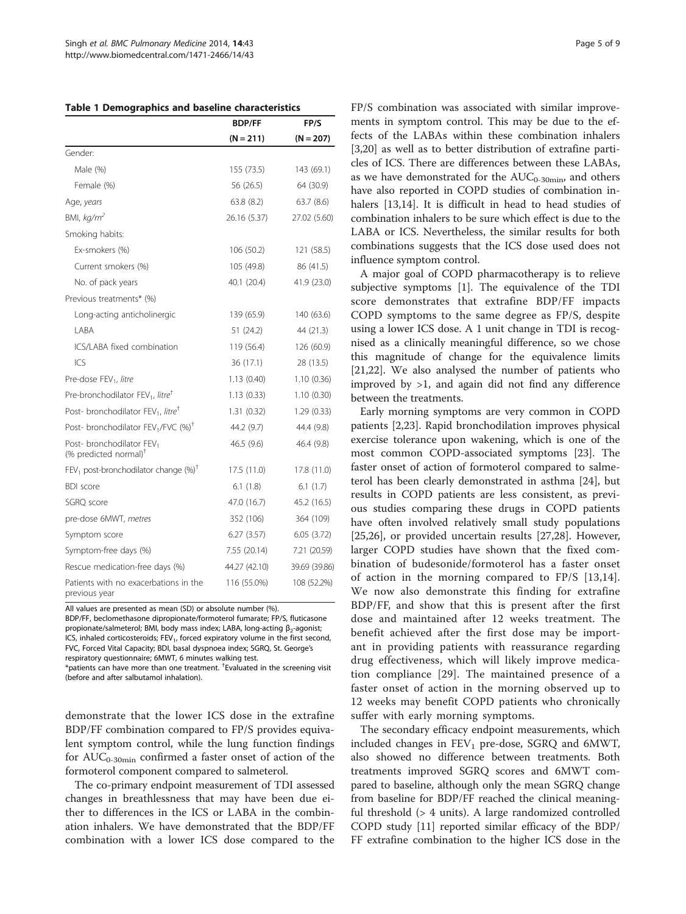<span id="page-4-0"></span>

| <b>Table 1 Demographics and baseline characteristics</b> |  |
|----------------------------------------------------------|--|
|----------------------------------------------------------|--|

|                                                                            | <b>BDP/FF</b><br>$(N = 211)$ | FP/S<br>$(N = 207)$ |
|----------------------------------------------------------------------------|------------------------------|---------------------|
|                                                                            |                              |                     |
| Gender:                                                                    |                              |                     |
| Male (%)                                                                   | 155 (73.5)                   | 143 (69.1)          |
| Female (%)                                                                 | 56 (26.5)                    | 64 (30.9)           |
| Age, years                                                                 | 63.8(8.2)                    | 63.7(8.6)           |
| BMI, $kq/m^2$                                                              | 26.16 (5.37)                 | 27.02 (5.60)        |
| Smoking habits:                                                            |                              |                     |
| Ex-smokers (%)                                                             | 106 (50.2)                   | 121 (58.5)          |
| Current smokers (%)                                                        | 105 (49.8)                   | 86 (41.5)           |
| No. of pack years                                                          | 40.1 (20.4)                  | 41.9 (23.0)         |
| Previous treatments* (%)                                                   |                              |                     |
| Long-acting anticholinergic                                                | 139 (65.9)                   | 140 (63.6)          |
| LABA                                                                       | 51(24.2)                     | 44 (21.3)           |
| ICS/LABA fixed combination                                                 | 119 (56.4)                   | 126 (60.9)          |
| ICS                                                                        | 36(17.1)                     | 28 (13.5)           |
| Pre-dose FEV <sub>1</sub> , litre                                          | 1.13(0.40)                   | 1.10(0.36)          |
| Pre-bronchodilator FEV <sub>1</sub> , litre <sup>+</sup>                   | 1.13(0.33)                   | 1.10(0.30)          |
| Post- bronchodilator FEV <sub>1</sub> , litre <sup>+</sup>                 | 1.31(0.32)                   | 1.29(0.33)          |
| Post- bronchodilator FEV <sub>1</sub> /FVC (%) <sup>+</sup>                | 44.2 (9.7)                   | 44.4 (9.8)          |
| Post- bronchodilator FEV <sub>1</sub><br>(% predicted normal) <sup>†</sup> | 46.5 (9.6)                   | 46.4 (9.8)          |
| $FEV1$ post-bronchodilator change (%) <sup>†</sup>                         | 17.5 (11.0)                  | 17.8 (11.0)         |
| <b>BDI</b> score                                                           | 6.1(1.8)                     | 6.1(1.7)            |
| SGRQ score                                                                 | 47.0 (16.7)                  | 45.2 (16.5)         |
| pre-dose 6MWT, metres                                                      | 352 (106)                    | 364 (109)           |
| Symptom score                                                              | 6.27(3.57)                   | 6.05(3.72)          |
| Symptom-free days (%)                                                      | 7.55 (20.14)                 | 7.21 (20.59)        |
| Rescue medication-free days (%)                                            | 44.27 (42.10)                | 39.69 (39.86)       |
| Patients with no exacerbations in the<br>previous year                     | 116 (55.0%)                  | 108 (52.2%)         |

All values are presented as mean (SD) or absolute number (%). BDP/FF, beclomethasone dipropionate/formoterol fumarate; FP/S, fluticasone propionate/salmeterol; BMI, body mass index; LABA, long-acting β<sub>2</sub>-agonist; ICS, inhaled corticosteroids;  $FEV<sub>1</sub>$ , forced expiratory volume in the first second, FVC, Forced Vital Capacity; BDI, basal dyspnoea index; SGRQ, St. George's respiratory questionnaire; 6MWT, 6 minutes walking test.

\*patients can have more than one treatment. † Evaluated in the screening visit (before and after salbutamol inhalation).

demonstrate that the lower ICS dose in the extrafine BDP/FF combination compared to FP/S provides equivalent symptom control, while the lung function findings for  $AUC_{0-30min}$  confirmed a faster onset of action of the formoterol component compared to salmeterol.

The co-primary endpoint measurement of TDI assessed changes in breathlessness that may have been due either to differences in the ICS or LABA in the combination inhalers. We have demonstrated that the BDP/FF combination with a lower ICS dose compared to the FP/S combination was associated with similar improvements in symptom control. This may be due to the effects of the LABAs within these combination inhalers [[3,](#page-7-0)[20\]](#page-8-0) as well as to better distribution of extrafine particles of ICS. There are differences between these LABAs, as we have demonstrated for the  $AUC_{0-30min}$ , and others have also reported in COPD studies of combination in-halers [\[13,14](#page-8-0)]. It is difficult in head to head studies of combination inhalers to be sure which effect is due to the LABA or ICS. Nevertheless, the similar results for both combinations suggests that the ICS dose used does not influence symptom control.

A major goal of COPD pharmacotherapy is to relieve subjective symptoms [[1\]](#page-7-0). The equivalence of the TDI score demonstrates that extrafine BDP/FF impacts COPD symptoms to the same degree as FP/S, despite using a lower ICS dose. A 1 unit change in TDI is recognised as a clinically meaningful difference, so we chose this magnitude of change for the equivalence limits [[21,22\]](#page-8-0). We also analysed the number of patients who improved by  $>1$ , and again did not find any difference between the treatments.

Early morning symptoms are very common in COPD patients [[2,](#page-7-0)[23\]](#page-8-0). Rapid bronchodilation improves physical exercise tolerance upon wakening, which is one of the most common COPD-associated symptoms [[23](#page-8-0)]. The faster onset of action of formoterol compared to salmeterol has been clearly demonstrated in asthma [\[24\]](#page-8-0), but results in COPD patients are less consistent, as previous studies comparing these drugs in COPD patients have often involved relatively small study populations [[25,26\]](#page-8-0), or provided uncertain results [\[27,28\]](#page-8-0). However, larger COPD studies have shown that the fixed combination of budesonide/formoterol has a faster onset of action in the morning compared to FP/S [[13,14](#page-8-0)]. We now also demonstrate this finding for extrafine BDP/FF, and show that this is present after the first dose and maintained after 12 weeks treatment. The benefit achieved after the first dose may be important in providing patients with reassurance regarding drug effectiveness, which will likely improve medication compliance [\[29\]](#page-8-0). The maintained presence of a faster onset of action in the morning observed up to 12 weeks may benefit COPD patients who chronically suffer with early morning symptoms.

The secondary efficacy endpoint measurements, which included changes in  $FEV<sub>1</sub>$  pre-dose, SGRQ and 6MWT, also showed no difference between treatments. Both treatments improved SGRQ scores and 6MWT compared to baseline, although only the mean SGRQ change from baseline for BDP/FF reached the clinical meaningful threshold (> 4 units). A large randomized controlled COPD study [\[11\]](#page-8-0) reported similar efficacy of the BDP/ FF extrafine combination to the higher ICS dose in the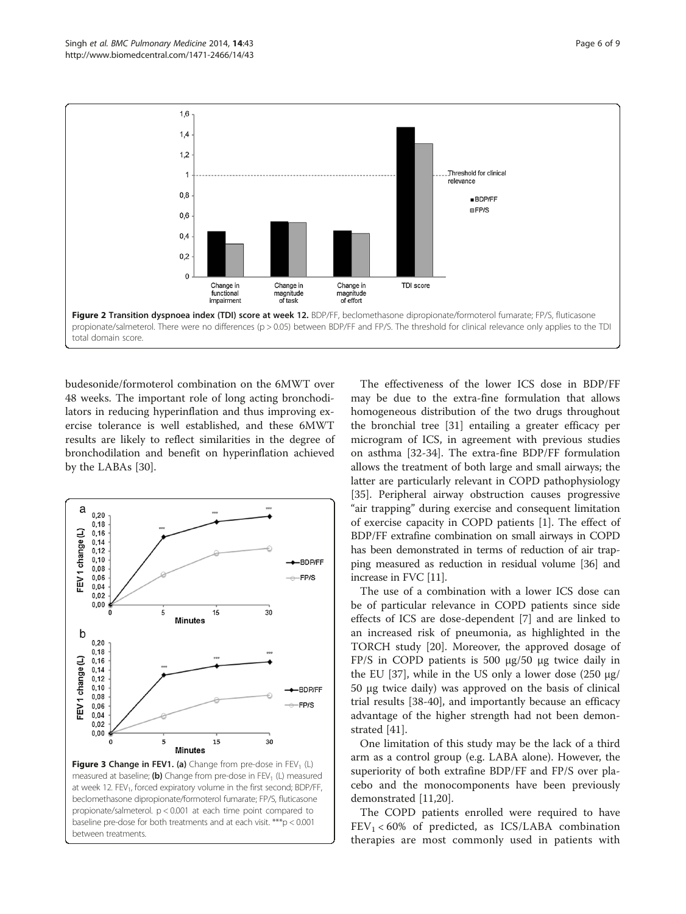<span id="page-5-0"></span>

budesonide/formoterol combination on the 6MWT over 48 weeks. The important role of long acting bronchodilators in reducing hyperinflation and thus improving exercise tolerance is well established, and these 6MWT results are likely to reflect similarities in the degree of bronchodilation and benefit on hyperinflation achieved by the LABAs [[30](#page-8-0)].



Figure 3 Change in FEV1. (a) Change from pre-dose in FEV<sub>1</sub> (L) measured at baseline; (b) Change from pre-dose in  $FEV<sub>1</sub>$  (L) measured at week 12. FEV<sub>1</sub>, forced expiratory volume in the first second; BDP/FF, beclomethasone dipropionate/formoterol fumarate; FP/S, fluticasone propionate/salmeterol. p < 0.001 at each time point compared to baseline pre-dose for both treatments and at each visit. \*\*\*p < 0.001 between treatments.

The effectiveness of the lower ICS dose in BDP/FF may be due to the extra-fine formulation that allows homogeneous distribution of the two drugs throughout the bronchial tree [[31](#page-8-0)] entailing a greater efficacy per microgram of ICS, in agreement with previous studies on asthma [[32-34\]](#page-8-0). The extra-fine BDP/FF formulation allows the treatment of both large and small airways; the latter are particularly relevant in COPD pathophysiology [[35\]](#page-8-0). Peripheral airway obstruction causes progressive "air trapping" during exercise and consequent limitation of exercise capacity in COPD patients [[1\]](#page-7-0). The effect of BDP/FF extrafine combination on small airways in COPD has been demonstrated in terms of reduction of air trapping measured as reduction in residual volume [\[36](#page-8-0)] and increase in FVC [[11](#page-8-0)].

The use of a combination with a lower ICS dose can be of particular relevance in COPD patients since side effects of ICS are dose-dependent [[7\]](#page-8-0) and are linked to an increased risk of pneumonia, as highlighted in the TORCH study [\[20](#page-8-0)]. Moreover, the approved dosage of FP/S in COPD patients is 500 μg/50 μg twice daily in the EU [\[37](#page-8-0)], while in the US only a lower dose  $(250 \text{ μg}/$ 50 μg twice daily) was approved on the basis of clinical trial results [[38-40](#page-8-0)], and importantly because an efficacy advantage of the higher strength had not been demonstrated [[41](#page-8-0)].

One limitation of this study may be the lack of a third arm as a control group (e.g. LABA alone). However, the superiority of both extrafine BDP/FF and FP/S over placebo and the monocomponents have been previously demonstrated [[11,20\]](#page-8-0).

The COPD patients enrolled were required to have  $FEV<sub>1</sub> < 60%$  of predicted, as ICS/LABA combination therapies are most commonly used in patients with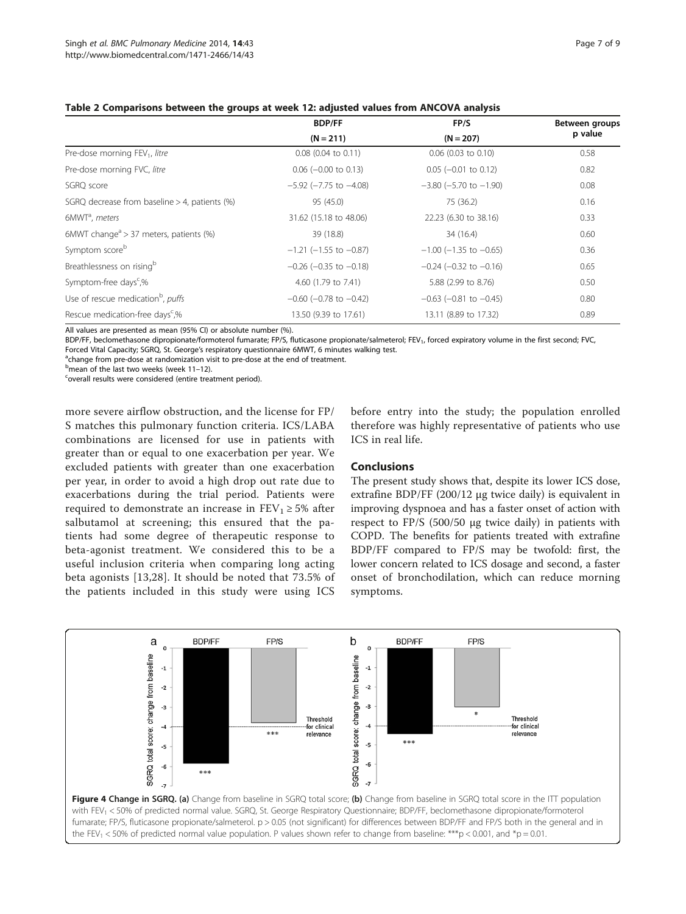|                                                                 | <b>BDP/FF</b><br>$(N = 211)$   | FP/S<br>$(N = 207)$            | Between groups<br>p value |
|-----------------------------------------------------------------|--------------------------------|--------------------------------|---------------------------|
|                                                                 |                                |                                |                           |
| Pre-dose morning FEV <sub>1</sub> , litre                       | 0.08 (0.04 to 0.11)            | $0.06$ (0.03 to 0.10)          | 0.58                      |
| Pre-dose morning FVC, litre                                     | $0.06$ ( $-0.00$ to 0.13)      | $0.05$ (-0.01 to 0.12)         | 0.82                      |
| SGRO score                                                      | $-5.92$ ( $-7.75$ to $-4.08$ ) | $-3.80$ ( $-5.70$ to $-1.90$ ) | 0.08                      |
| SGRQ decrease from baseline > 4, patients (%)                   | 95 (45.0)                      | 75 (36.2)                      | 0.16                      |
| 6MWT <sup>a</sup> , meters                                      | 31.62 (15.18 to 48.06)         | 22.23 (6.30 to 38.16)          | 0.33                      |
| 6MWT change <sup><math>a</math></sup> > 37 meters, patients (%) | 39 (18.8)                      | 34 (16.4)                      | 0.60                      |
| Symptom scoreb                                                  | $-1.21$ ( $-1.55$ to $-0.87$ ) | $-1.00$ ( $-1.35$ to $-0.65$ ) | 0.36                      |
| Breathlessness on risingb                                       | $-0.26$ ( $-0.35$ to $-0.18$ ) | $-0.24$ ( $-0.32$ to $-0.16$ ) | 0.65                      |
| Symptom-free days <sup>c</sup> ,%                               | 4.60 (1.79 to 7.41)            | 5.88 (2.99 to 8.76)            | 0.50                      |
| Use of rescue medication <sup>b</sup> , puffs                   | $-0.60$ ( $-0.78$ to $-0.42$ ) | $-0.63$ ( $-0.81$ to $-0.45$ ) | 0.80                      |
| Rescue medication-free days <sup>c</sup> ,%                     | 13.50 (9.39 to 17.61)          | 13.11 (8.89 to 17.32)          | 0.89                      |

## <span id="page-6-0"></span>Table 2 Comparisons between the groups at week 12: adjusted values from ANCOVA analysis

All values are presented as mean (95% CI) or absolute number (%).

BDP/FF, beclomethasone dipropionate/formoterol fumarate; FP/S, fluticasone propionate/salmeterol; FEV<sub>1</sub>, forced expiratory volume in the first second; FVC, Forced Vital Capacity; SGRQ, St. George's respiratory questionnaire 6MWT, 6 minutes walking test.

<sup>a</sup>change from pre-dose at randomization visit to pre-dose at the end of treatment.

b<sub></sub> mean of the last two weeks (week 11–12).<br>Soverall results were considered (entire trea

overall results were considered (entire treatment period).

more severe airflow obstruction, and the license for FP/ S matches this pulmonary function criteria. ICS/LABA combinations are licensed for use in patients with greater than or equal to one exacerbation per year. We excluded patients with greater than one exacerbation per year, in order to avoid a high drop out rate due to exacerbations during the trial period. Patients were required to demonstrate an increase in  $FEV_1 \ge 5\%$  after salbutamol at screening; this ensured that the patients had some degree of therapeutic response to beta-agonist treatment. We considered this to be a useful inclusion criteria when comparing long acting beta agonists [[13](#page-8-0),[28\]](#page-8-0). It should be noted that 73.5% of the patients included in this study were using ICS before entry into the study; the population enrolled therefore was highly representative of patients who use ICS in real life.

## Conclusions

The present study shows that, despite its lower ICS dose, extrafine BDP/FF (200/12 μg twice daily) is equivalent in improving dyspnoea and has a faster onset of action with respect to FP/S (500/50 μg twice daily) in patients with COPD. The benefits for patients treated with extrafine BDP/FF compared to FP/S may be twofold: first, the lower concern related to ICS dosage and second, a faster onset of bronchodilation, which can reduce morning symptoms.

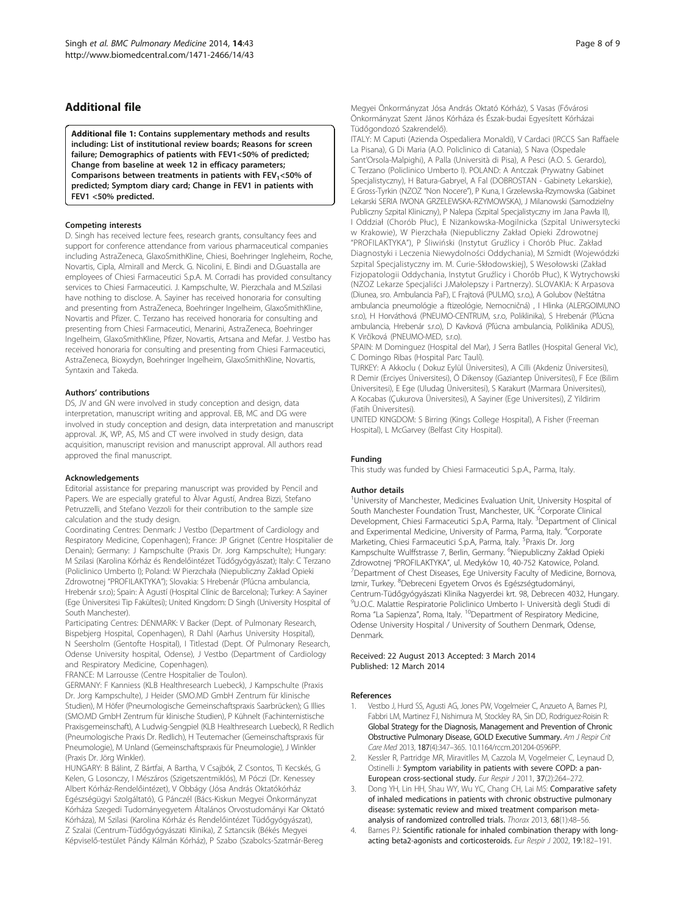## <span id="page-7-0"></span>Additional file

[Additional file 1:](http://www.biomedcentral.com/content/supplementary/1471-2466-14-43-S1.doc) Contains supplementary methods and results including: List of institutional review boards; Reasons for screen failure; Demographics of patients with FEV1<50% of predicted; Change from baseline at week 12 in efficacy parameters; Comparisons between treatments in patients with  $FEV_1 < 50\%$  of predicted; Symptom diary card; Change in FEV1 in patients with FEV1 <50% predicted.

#### Competing interests

D. Singh has received lecture fees, research grants, consultancy fees and support for conference attendance from various pharmaceutical companies including AstraZeneca, GlaxoSmithKline, Chiesi, Boehringer Ingleheim, Roche, Novartis, Cipla, Almirall and Merck. G. Nicolini, E. Bindi and D.Guastalla are employees of Chiesi Farmaceutici S.p.A. M. Corradi has provided consultancy services to Chiesi Farmaceutici. J. Kampschulte, W. Pierzchala and M.Szilasi have nothing to disclose. A. Sayiner has received honoraria for consulting and presenting from AstraZeneca, Boehringer Ingelheim, GlaxoSmithKline, Novartis and Pfizer. C. Terzano has received honoraria for consulting and presenting from Chiesi Farmaceutici, Menarini, AstraZeneca, Boehringer Ingelheim, GlaxoSmithKline, Pfizer, Novartis, Artsana and Mefar. J. Vestbo has received honoraria for consulting and presenting from Chiesi Farmaceutici, AstraZeneca, Bioxydyn, Boehringer Ingelheim, GlaxoSmithKline, Novartis, Syntaxin and Takeda.

#### Authors' contributions

DS, JV and GN were involved in study conception and design, data interpretation, manuscript writing and approval. EB, MC and DG were involved in study conception and design, data interpretation and manuscript approval. JK, WP, AS, MS and CT were involved in study design, data acquisition, manuscript revision and manuscript approval. All authors read approved the final manuscript.

#### Acknowledgements

Editorial assistance for preparing manuscript was provided by Pencil and Papers. We are especially grateful to Àlvar Agustí, Andrea Bizzi, Stefano Petruzzelli, and Stefano Vezzoli for their contribution to the sample size calculation and the study design.

Coordinating Centres: Denmark: J Vestbo (Department of Cardiology and Respiratory Medicine, Copenhagen); France: JP Grignet (Centre Hospitalier de Denain); Germany: J Kampschulte (Praxis Dr. Jorg Kampschulte); Hungary: M Szilasi (Karolina Kórház és Rendelőintézet Tüdőgyógyászat); Italy: C Terzano (Policlinico Umberto I); Poland: W Pierzchała (Niepubliczny Zakład Opieki Zdrowotnej "PROFILAKTYKA"); Slovakia: S Hrebenár (Pľúcna ambulancia, Hrebenár s.r.o); Spain: À Agustí (Hospital Clínic de Barcelona); Turkey: A Sayiner (Ege Üniversitesi Tip Fakültesi); United Kingdom: D Singh (University Hospital of South Manchester).

Participating Centres: DENMARK: V Backer (Dept. of Pulmonary Research, Bispebjerg Hospital, Copenhagen), R Dahl (Aarhus University Hospital), N Seersholm (Gentofte Hospital), I Titlestad (Dept. Of Pulmonary Research, Odense University hospital, Odense), J Vestbo (Department of Cardiology and Respiratory Medicine, Copenhagen).

FRANCE: M Larrousse (Centre Hospitalier de Toulon).

GERMANY: F Kanniess (KLB Healthresearch Luebeck), J Kampschulte (Praxis Dr. Jorg Kampschulte), J Heider (SMO.MD GmbH Zentrum für klinische Studien), M Höfer (Pneumologische Gemeinschaftspraxis Saarbrücken); G Illies (SMO.MD GmbH Zentrum für klinische Studien), P Kühnelt (Fachinternistische Praxisgemeinschaft), A Ludwig-Sengpiel (KLB Healthresearch Luebeck), R Redlich (Pneumologische Praxis Dr. Redlich), H Teutemacher (Gemeinschaftspraxis für Pneumologie), M Unland (Gemeinschaftspraxis für Pneumologie), J Winkler (Praxis Dr. Jörg Winkler).

HUNGARY: B Bálint, Z Bártfai, A Bartha, V Csajbók, Z Csontos, Tì Kecskés, G Kelen, G Losonczy, I Mészáros (Szigetszentmiklós), M Póczi (Dr. Kenessey Albert Kórház-Rendelőintézet), V Obbágy (Jósa András Oktatókórház Egészségügyi Szolgáltató), G Pánczél (Bács-Kiskun Megyei Önkormányzat Kórháza Szegedi Tudományegyetem Általános Orvostudományi Kar Oktató Kórháza), M Szilasi (Karolina Kórház és Rendelőintézet Tüdőgyógyászat), Z Szalai (Centrum-Tüdőgyógyászati Klinika), Z Sztancsik (Békés Megyei Képviselő-testület Pándy Kálmán Kórház), P Szabo (Szabolcs-Szatmár-Bereg

Megyei Önkormányzat Jósa András Oktató Kórház), S Vasas (Fővárosi Önkormányzat Szent János Kórháza és Észak-budai Egyesített Kórházai Tüdőgondozó Szakrendelő).

ITALY: M Caputi (Azienda Ospedaliera Monaldi), V Cardaci (IRCCS San Raffaele La Pisana), G Di Maria (A.O. Policlinico di Catania), S Nava (Ospedale Sant'Orsola-Malpighi), A Palla (Università di Pisa), A Pesci (A.O. S. Gerardo), C Terzano (Policlinico Umberto I). POLAND: A Antczak (Prywatny Gabinet Specjalistyczny), H Batura-Gabryel, A Fal (DOBROSTAN - Gabinety Lekarskie), E Gross-Tyrkin (NZOZ "Non Nocere"), P Kuna, I Grzelewska-Rzymowska (Gabinet Lekarski SERIA IWONA GRZELEWSKA-RZYMOWSKA), J Milanowski (Samodzielny Publiczny Szpital Kliniczny), P Nalepa (Szpital Specjalistyczny im Jana Pawła II), I Oddział (Chorób Płuc), E Niżankowska-Mogilnicka (Szpital Uniwersytecki w Krakowie), W Pierzchała (Niepubliczny Zakład Opieki Zdrowotnej "PROFILAKTYKA"), P Śliwiński (Instytut Gruźlicy i Chorób Płuc. Zakład Diagnostyki i Leczenia Niewydolności Oddychania), M Szmidt (Wojewódzki Szpital Specjalistyczny im. M. Curie-Skłodowskiej), S Wesołowski (Zakład Fizjopatologii Oddychania, Instytut Gruźlicy i Chorób Płuc), K Wytrychowski (NZOZ Lekarze Specjaliści J.Małolepszy i Partnerzy). SLOVAKIA: K Arpasova (Diunea, sro. Ambulancia PaF), Ľ Frajtová (PULMO, s.r.o,), A Golubov (Neštátna ambulancia pneumológie a ftizeológie, Nemocničná) , I Hlinka (ALERGOIMUNO s.r.o), H Horváthová (PNEUMO-CENTRUM, s.r.o, Poliklinika), S Hrebenár (Pľúcna ambulancia, Hrebenár s.r.o), D Kavková (Pľúcna ambulancia, Poliklinika ADUS), K Virčíková (PNEUMO-MED, s.r.o).

SPAIN: M Dominguez (Hospital del Mar), J Serra Batlles (Hospital General Vic), C Domingo Ribas (Hospital Parc Taulí).

TURKEY: A Akkoclu ( Dokuz Eylül Üniversitesi), A Cilli (Akdeniz Üniversitesi), R Demir (Erciyes Üniversitesi), Ö Dikensoy (Gaziantep Üniversitesi), F Ece (Bilim Üniversitesi), E Ege (Uludag Üniversitesi), S Karakurt (Marmara Üniversitesi), A Kocabas (Çukurova Üniversitesi), A Sayiner (Ege Universitesi), Z Yildirim (Fatih Üniversitesi).

UNITED KINGDOM: S Birring (Kings College Hospital), A Fisher (Freeman Hospital), L McGarvey (Belfast City Hospital).

#### Funding

This study was funded by Chiesi Farmaceutici S.p.A., Parma, Italy.

#### Author details

<sup>1</sup>University of Manchester, Medicines Evaluation Unit, University Hospital of South Manchester Foundation Trust, Manchester, UK. <sup>2</sup>Corporate Clinical Development, Chiesi Farmaceutici S.p.A, Parma, Italy. <sup>3</sup>Department of Clinical and Experimental Medicine, University of Parma, Parma, Italy. <sup>4</sup>Corporate Marketing, Chiesi Farmaceutici S.p.A, Parma, Italy. <sup>5</sup>Praxis Dr. Jorg Kampschulte Wulffstrasse 7, Berlin, Germany. <sup>6</sup>Niepubliczny Zakład Opieki Zdrowotnej "PROFILAKTYKA", ul. Medyków 10, 40-752 Katowice, Poland. <sup>7</sup> <sup>7</sup> Department of Chest Diseases, Ege University Faculty of Medicine, Bornova, Izmir, Turkey. <sup>8</sup>Debreceni Egyetem Orvos és Egészségtudományi Centrum-Tüdőgyógyászati Klinika Nagyerdei krt. 98, Debrecen 4032, Hungary. <sup>9</sup> U.O.C. Malattie Respiratorie Policlinico Umberto I- Università degli Studi di Roma "La Sapienza", Roma, Italy. 10Department of Respiratory Medicine, Odense University Hospital / University of Southern Denmark, Odense, Denmark.

#### Received: 22 August 2013 Accepted: 3 March 2014 Published: 12 March 2014

#### References

- 1. Vestbo J, Hurd SS, Agusti AG, Jones PW, Vogelmeier C, Anzueto A, Barnes PJ, Fabbri LM, Martinez FJ, Nishimura M, Stockley RA, Sin DD, Rodriguez-Roisin R: Global Strategy for the Diagnosis, Management and Prevention of Chronic Obstructive Pulmonary Disease, GOLD Executive Summary. Am J Respir Crit Care Med 2013, 187(4):347–365. 10.1164/rccm.201204-0596PP.
- 2. Kessler R, Partridge MR, Miravitlles M, Cazzola M, Vogelmeier C, Leynaud D, Ostinelli J: Symptom variability in patients with severe COPD: a pan-European cross-sectional study. Eur Respir J 2011, 37(2):264–272.
- 3. Dong YH, Lin HH, Shau WY, Wu YC, Chang CH, Lai MS: Comparative safety of inhaled medications in patients with chronic obstructive pulmonary disease: systematic review and mixed treatment comparison metaanalysis of randomized controlled trials. Thorax 2013, 68(1):48–56.
- 4. Barnes PJ: Scientific rationale for inhaled combination therapy with longacting beta2-agonists and corticosteroids. Eur Respir J 2002, 19:182-191.